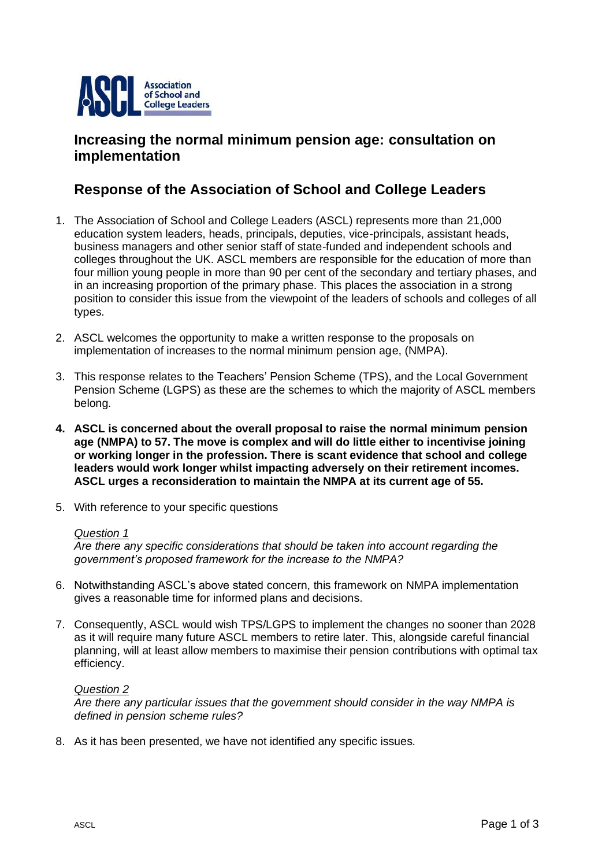

# **Increasing the normal minimum pension age: consultation on implementation**

# **Response of the Association of School and College Leaders**

- 1. The Association of School and College Leaders (ASCL) represents more than 21,000 education system leaders, heads, principals, deputies, vice-principals, assistant heads, business managers and other senior staff of state-funded and independent schools and colleges throughout the UK. ASCL members are responsible for the education of more than four million young people in more than 90 per cent of the secondary and tertiary phases, and in an increasing proportion of the primary phase. This places the association in a strong position to consider this issue from the viewpoint of the leaders of schools and colleges of all types.
- 2. ASCL welcomes the opportunity to make a written response to the proposals on implementation of increases to the normal minimum pension age, (NMPA).
- 3. This response relates to the Teachers' Pension Scheme (TPS), and the Local Government Pension Scheme (LGPS) as these are the schemes to which the majority of ASCL members belong.
- **4. ASCL is concerned about the overall proposal to raise the normal minimum pension age (NMPA) to 57. The move is complex and will do little either to incentivise joining or working longer in the profession. There is scant evidence that school and college leaders would work longer whilst impacting adversely on their retirement incomes. ASCL urges a reconsideration to maintain the NMPA at its current age of 55.**
- 5. With reference to your specific questions

# *Question 1*

*Are there any specific considerations that should be taken into account regarding the government's proposed framework for the increase to the NMPA?* 

- 6. Notwithstanding ASCL's above stated concern, this framework on NMPA implementation gives a reasonable time for informed plans and decisions.
- 7. Consequently, ASCL would wish TPS/LGPS to implement the changes no sooner than 2028 as it will require many future ASCL members to retire later. This, alongside careful financial planning, will at least allow members to maximise their pension contributions with optimal tax efficiency.

# *Question 2*

*Are there any particular issues that the government should consider in the way NMPA is defined in pension scheme rules?* 

8. As it has been presented, we have not identified any specific issues.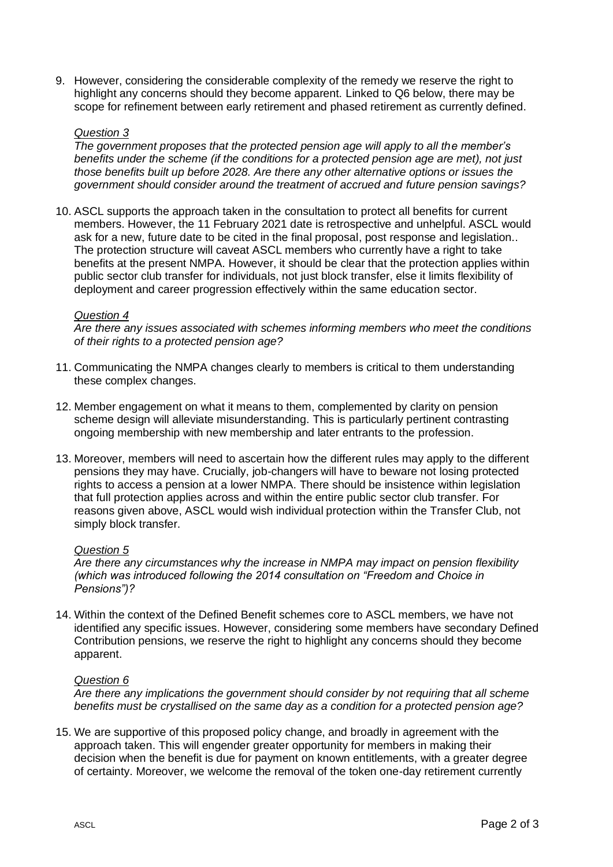9. However, considering the considerable complexity of the remedy we reserve the right to highlight any concerns should they become apparent. Linked to Q6 below, there may be scope for refinement between early retirement and phased retirement as currently defined.

# *Question 3*

*The government proposes that the protected pension age will apply to all the member's benefits under the scheme (if the conditions for a protected pension age are met), not just those benefits built up before 2028. Are there any other alternative options or issues the government should consider around the treatment of accrued and future pension savings?* 

10. ASCL supports the approach taken in the consultation to protect all benefits for current members. However, the 11 February 2021 date is retrospective and unhelpful. ASCL would ask for a new, future date to be cited in the final proposal, post response and legislation.. The protection structure will caveat ASCL members who currently have a right to take benefits at the present NMPA. However, it should be clear that the protection applies within public sector club transfer for individuals, not just block transfer, else it limits flexibility of deployment and career progression effectively within the same education sector.

# *Question 4*

*Are there any issues associated with schemes informing members who meet the conditions of their rights to a protected pension age?* 

- 11. Communicating the NMPA changes clearly to members is critical to them understanding these complex changes.
- 12. Member engagement on what it means to them, complemented by clarity on pension scheme design will alleviate misunderstanding. This is particularly pertinent contrasting ongoing membership with new membership and later entrants to the profession.
- 13. Moreover, members will need to ascertain how the different rules may apply to the different pensions they may have. Crucially, job-changers will have to beware not losing protected rights to access a pension at a lower NMPA. There should be insistence within legislation that full protection applies across and within the entire public sector club transfer. For reasons given above, ASCL would wish individual protection within the Transfer Club, not simply block transfer.

# *Question 5*

*Are there any circumstances why the increase in NMPA may impact on pension flexibility (which was introduced following the 2014 consultation on "Freedom and Choice in Pensions")?* 

14. Within the context of the Defined Benefit schemes core to ASCL members, we have not identified any specific issues. However, considering some members have secondary Defined Contribution pensions, we reserve the right to highlight any concerns should they become apparent.

# *Question 6*

*Are there any implications the government should consider by not requiring that all scheme benefits must be crystallised on the same day as a condition for a protected pension age?* 

15. We are supportive of this proposed policy change, and broadly in agreement with the approach taken. This will engender greater opportunity for members in making their decision when the benefit is due for payment on known entitlements, with a greater degree of certainty. Moreover, we welcome the removal of the token one-day retirement currently